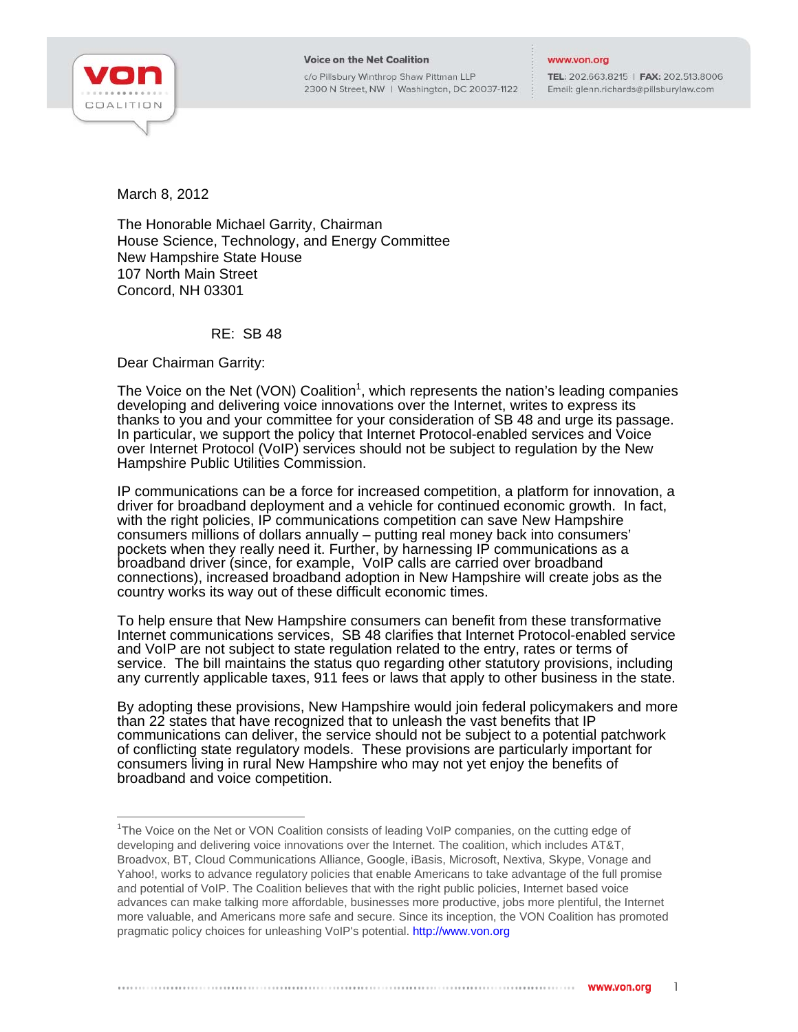

j

## **Voice on the Net Coalition**

c/o Pillsbury Winthrop Shaw Pittman LLP 2300 N Street, NW | Washington, DC 20037-1122

## www.von.org

TEL: 202.663.8215 | FAX: 202.513.8006 Email: glenn.richards@pillsburylaw.com

March 8, 2012

The Honorable Michael Garrity, Chairman House Science, Technology, and Energy Committee New Hampshire State House 107 North Main Street Concord, NH 03301

RE: SB 48

Dear Chairman Garrity:

The Voice on the Net (VON) Coalition<sup>1</sup>, which represents the nation's leading companies developing and delivering voice innovations over the Internet, writes to express its thanks to you and your committee for your consideration of SB 48 and urge its passage. In particular, we support the policy that Internet Protocol-enabled services and Voice over Internet Protocol (VoIP) services should not be subject to regulation by the New Hampshire Public Utilities Commission.

IP communications can be a force for increased competition, a platform for innovation, a driver for broadband deployment and a vehicle for continued economic growth. In fact, with the right policies, IP communications competition can save New Hampshire consumers millions of dollars annually – putting real money back into consumers' pockets when they really need it. Further, by harnessing IP communications as a broadband driver (since, for example, VoIP calls are carried over broadband connections), increased broadband adoption in New Hampshire will create jobs as the country works its way out of these difficult economic times.

To help ensure that New Hampshire consumers can benefit from these transformative Internet communications services, SB 48 clarifies that Internet Protocol-enabled service and VoIP are not subject to state regulation related to the entry, rates or terms of service. The bill maintains the status quo regarding other statutory provisions, including any currently applicable taxes, 911 fees or laws that apply to other business in the state.

By adopting these provisions, New Hampshire would join federal policymakers and more than 22 states that have recognized that to unleash the vast benefits that IP communications can deliver, the service should not be subject to a potential patchwork of conflicting state regulatory models. These provisions are particularly important for consumers living in rural New Hampshire who may not yet enjoy the benefits of broadband and voice competition.

<sup>&</sup>lt;sup>1</sup>The Voice on the Net or VON Coalition consists of leading VoIP companies, on the cutting edge of developing and delivering voice innovations over the Internet. The coalition, which includes AT&T, Broadvox, BT, Cloud Communications Alliance, Google, iBasis, Microsoft, Nextiva, Skype, Vonage and Yahoo!, works to advance regulatory policies that enable Americans to take advantage of the full promise and potential of VoIP. The Coalition believes that with the right public policies, Internet based voice advances can make talking more affordable, businesses more productive, jobs more plentiful, the Internet more valuable, and Americans more safe and secure. Since its inception, the VON Coalition has promoted pragmatic policy choices for unleashing VoIP's potential. http://www.von.org